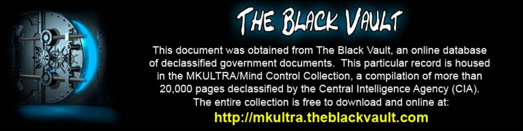

This document was obtained from The Black Vault, an online database of declassified government documents. This particular record is housed in the MKULTRA/Mind Control Collection, a compilation of more than 20,000 pages declassified by the Central Intelligence Agency (CIA). The entire collection is free to download and online at: http://mkultra.theblackvault.com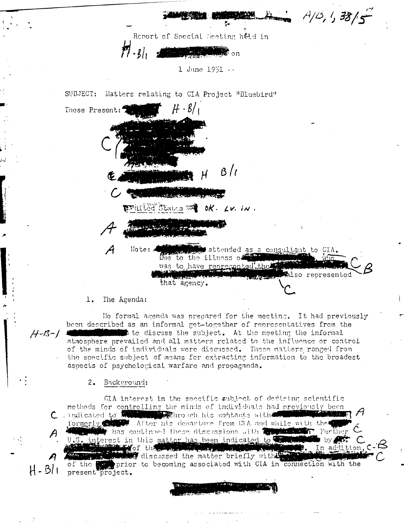$A/15, 1, 38/5$ Report of Special Meeting hed in  $\tilde{H}\cdot\mathfrak{z}_0$  $\mathbf{F}$  on  $1$  June  $1951...$ Matters relating to CIA Project "Bluebird" SUBJECT: Those Present:  $\frac{B}{l}$ **REMAILED Stations To all OK. LV. IN.** A Note: attended as a consultant to CIA. Due to the illness of was to have represented the also represented

that agency.

## 1. The Agenda:

No formal agenda was prepared for the meeting. It had previously been described as an informal get-together of representatives from the  $H - B - 1$ to discuss the subject. At the meeting the informal atmosphere prevailed and all matters related to the influence or control of the minds of individuals were discussed. These matters ranged from the specific subject of means for extracting information to the broadest aspects of psychological warfare and propaganda.

## $2.$ Background:

CIA interest in the seccific subject of deviring scientific methods for controlling the minds of individuals had previously been C indicated to the state entiro unh his contacts with formerly the After his departure from CIA and while with the U.S. interest in this matter has been indicated to the second by the  $\boldsymbol{\beta}$ THE MORE CAR OF THE CONTRACTOR OF THE PROPERTY discussed the matter briefly with the of the prior to becoming associated with CIA in connection with the  $H - B/I$ present project.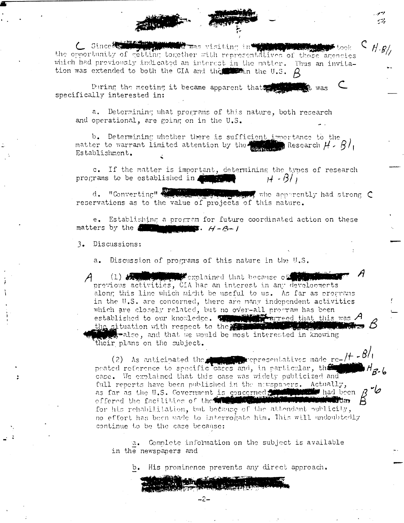C Since the strategy of the visiting in the strategy of the the opportunity of getting together with representatives of those agencies which had previously indicated an interest in the matter. Thus an invitation was extended to both the CIA and the winn the U.S.  $\beta$ 

وموسيو

 $C_{H.8/}$ 

During the meeting it became apparent that t was specifically interested in:

a. Determining what programs of this nature, both research and operational, are going on in the U.S.

b. Determining whether there is sufficient importance to the matter to warrant limited attention by the  $\frac{1}{100}$  Research  $H \cdot B$ , Establishment.

c. If the matter is important, determining the types of research programs to be established in the state  $H - B/I$ 

d. "Converting" who acometly had strong C reservations as to the value of projects of this nature.

e. Establishing a program for future coordinated action on these matters by the  $\frac{1}{2}$   $\frac{1}{2}$   $\frac{1}{2}$   $\frac{1}{2}$   $\frac{1}{2}$   $\frac{1}{2}$   $\frac{1}{2}$   $\frac{1}{2}$   $\frac{1}{2}$   $\frac{1}{2}$   $\frac{1}{2}$   $\frac{1}{2}$   $\frac{1}{2}$   $\frac{1}{2}$   $\frac{1}{2}$   $\frac{1}{2}$   $\frac{1}{2}$   $\frac{1}{2}$   $\frac{1}{2}$   $\frac{1}{2}$   $\frac{1}{2}$   $\frac{1}{2}$ 

3. Discussions:

Discussion of programs of this nature in the U.S.

(1) South of the contained that because of the state previous activities, CIA has an interest in any developments along this line which might be useful to us. As far as programs in the U.S. are concerned, there are many independent activities which are closely related, but no over-all program has been established to our knowledge.  $\mathcal{B}$  and  $\mathcal{B}$  and  $\mathcal{B}$  and  $\mathcal{B}$  and  $\mathcal{B}$ the situation with respect to the we ralso, and that we would be most interested in knowing their plans on the subject.

(2) As anticipated the comparison epresentatives made re- $/H - 8/$ peated reference to specific cases and, in particular, the case. We explained that this case was widely publicized and full reports have been published in the navspapers. Actually, as far as the U.S. Covernment is concerned, the state had been offered the facilities of the individual content for his rehabilitation, but because of the attendant publicity, no effort has been made to interrogate him. This will undoubtedly continue to be the case because:

a. Complete information on the subject is available in the newspapers and

b. His prominence prevents any direct approach.

 $-2-$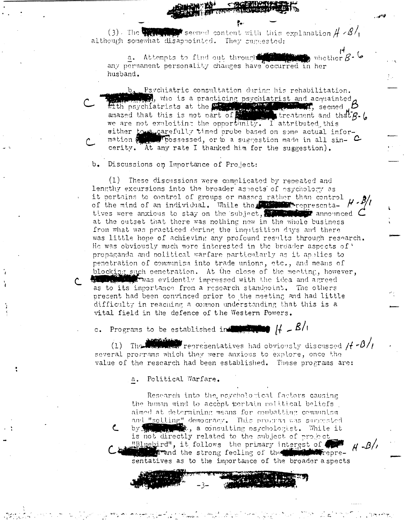(3). The  $\blacksquare$  second content with this explanation  $\# \angle \mathcal{B}/\mathcal{C}$ although somewhat disappointed. They cuggested:

a. Attempts to find out through the state of , whether  $\beta$  -  $\vee$ any permanent personality changes have occurred in her husband.

b. Psychiatric consultation during his rehabilitation. who is a practicing psychiatrist and acquainted<br>with psychiatrists at the principle of the property of the second  $\beta$ <br>we are not exploiting the opportunity. I attributed this either to a carefully timed probe based on some actual information a prossessed, or to a suggestion made in all sin- C cerity. At any rate I thanked him for the suggestion).

b. Discussions on Importance of Project:

(1) These discussions were complicated by repeated and lengthy excursions into the broader aspects of psychology as it pertains to control of groups or masses rather than control of the mind of an individual. While the **Community** representa- H tives were anxious to stay on the subject, at the outset that there was nothing new in the whole business from what was practiced during the inquisition days and there was little hope of achieving any profound results through research. He was obviously much more interested in the broader aspects of ' propaganda and nolitical warfare particularly as it applies to penetration of communism into trade unions, etc., and means of blocking such cenetration. At the close of the meeting, however, with the idea and agreed with the idea and agreed as to its importance from a research standnoint. The others present had been convinced prior to the meeting and had little difficulty in reaching a common understanding that this is a vital field in the defence of the Western Powers.

c. Programs to be established in the state  $H - B/I$ 

where representatives had obviously discussed / $f$  - $\beta$ //  $(1)$ Thomasine several programs which they were anxious to explore, once the value of the research had been established. These programs are:

> Political Warfare.  $a_{\bullet}$

Research into the naychological factors causing the human mind to accept pertain political beliefs. aimed at determining means for combatting communism and "selling" democracy. This program was suggested with the second time response to the second the second second terms of the second second terms of the second second second second second second second second second second second second second second second second second s by V is not directly related to the subject of project "Bluebird", it follows the primary interest of **Nov**repre-**Reduced** Trand the strong feeling of the sentatives as to the importance of the broader aspects

 $H - B/I$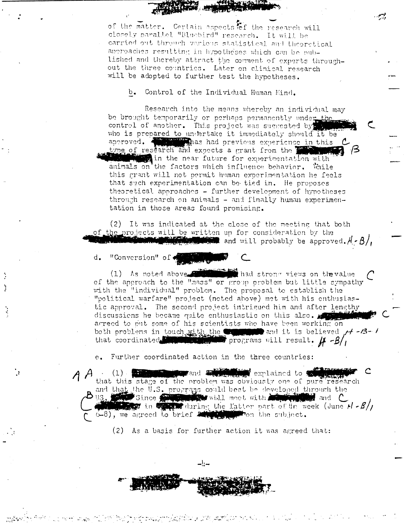of the matter. Certain aspects tof the research will closely parallel "Bluebird" research. It will be carried out through various statistical and theoretical approaches resulting in hypotheses which can be published and thereby attract the comment of experts throughout the three countries. Later on clinical research will be adopted to further test the hypotheses.

Control of the Individual Human Mind.  $b_{\bullet}$ 

Research into the means whereby an individual may be brought temporarily or perhaps permanently under the control of another. This project was suggested by who is prepared to undertake it immediately should it be approved. The mas had previous experience in this **Example 2** in the near future for experimentation with animals on the factors which influence behavior. While this grant will not permit human experimentation he feels that such experimentation can be tied in. He proposes theoretical approaches - further development of hypotheses through research on animals - and finally human experimentation in those areas found promising.

(2) It was indicated at the close of the meeting that both of the projects will be written up for consideration by the  $\mathbb{E}$  and will probably be approved.  $A - B$ ,

d. "Conversion" of

the seat had strong views on the value (1) As noted above of the approach to the "mass" or group problem but little sympathy with the "individual" problem. The proposal to establish the "political warfare" project (noted above) met with his enthusiastic approval. The second project intrigued him and after lengthy discussions he became quite enthusiastic on this also. arreed to put some of his scientists who have been working on both problems in touch with the community and it is believed / + - B- / that coordinated in the set programs will result.  $\mu - \beta / \mu$ 

Further coordinated action in the three countries:  $\rm e$  .

د را د

A A (1) **Communication** and **Exhibition** explained to the that this stage of the problem was obviously one of pure research and that the U.S. programs could best be developed through the U.S. Since the could best wish meet with **an unit the U.S.** and C.  $\mathbf{B}_{\text{US},\text{max}}$  $\frac{1}{2}$  in  $\frac{1}{2}$  during the latter part of the week (June  $H - B$ ) (6-8), we agreed to brief addition the subject.

(2) As a basis for further action it was agreed that: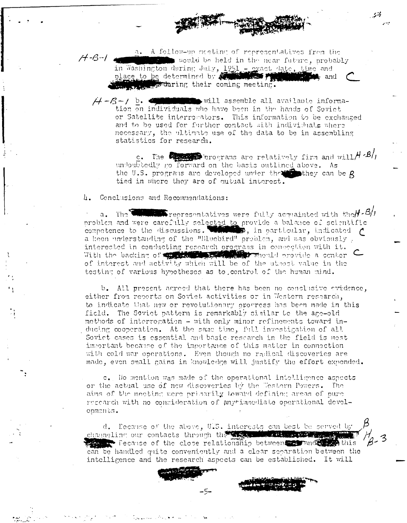a. A follow-up meeting of representatives from the  $H - B - I$ would be held in the near future, probably in Washington during July, 1951 - exact date, time and place to be determined by **and the set of the set of the set of the set of the set of the set of the set of the set of the set of the set of the set of the set of the** the coming meeting.

 $H - B - I$  b. will assemble all available information on individuals who have been in the hands of Soviet or Satellite interrorators. This information to be exchanged and to be used for further contact with individuals where necessary, the ultimate use of the data to be in assembling statistics for research.

 $c$ . The **Community** or our and relatively firm and will  $H \cdot B/I$ undoubtedly no forward on the basis outlined above. As the U.S. programs are developed under the  $\mathbb{Z}$  they can be  $R$ tied in where they are of mutual interest.

4. Conclusions and Recommendations:

The **Communicate** representatives were fully acquainted with the  $H - B$  $\alpha$ . problem and were carefully selected to provide a balance of scientific competence to the discussions. While  $\beta$ , in particular, indicated  $\beta$ a keen understanding of the "Bluebird" problem, and was obviously. interested in conducting research orggrans in connection with it. With the backing of the state of the state of the state of the state of the state of the state of the state of the state of the state of the state of the state of the state of the state of the state of the state of the sta of interest and activity which will be of the utmost value in the testing of various hypotheses as to control of the human mind.

b. All present agreed that there has been no conclusive evidence. either from reports on Soviet activities or in Western resparch, to indicate that new or revolutionary orogress has been made in this field. The Soviet pattern is remarkably similar to the age-old methods of interrogation - with only minor refinements toward inducing cooperation. At the same time, full investigation of all Soviet cases is essential and basic research in the field is most important because of the importance of this matter in connection with cold war operations. Even though no radical discoveries are made, even small gains in knowledge will justify the effort expended.

c. No mention was made of the operational intelligence aspects or the actual use of new discoveries by the Western Powers. The aims of the meeting were primarily toward defining areas of pure recearch with no consideration of anytimachiate operational developments.

d. Eccanse of the above, U.S. interests can best be served by channeling our contacts through the street with the town the primer as Decause of the close relationship between the nucleus this can be handled quite conveniently and a clear separation between the intelligence and the research aspects can be established. It will